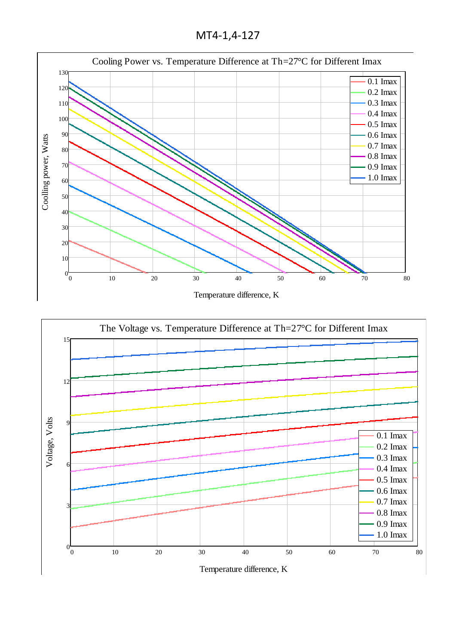МТ4-1,4-127



Temperature difference, K